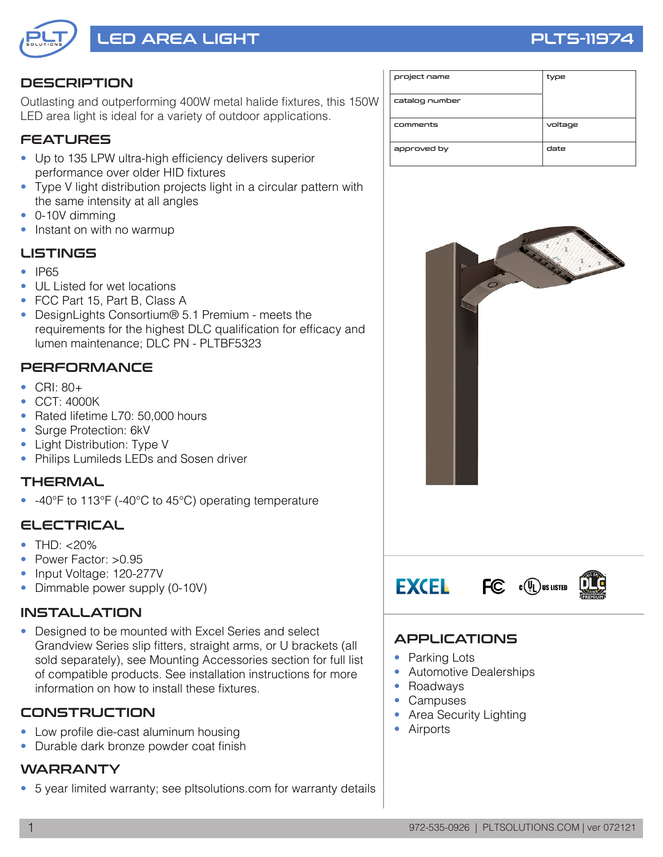

# LED AREA LIGHT PLTS-11974

#### **DESCRIPTION**

Outlasting and outperforming 400W metal halide fixtures, this 150W LED area light is ideal for a variety of outdoor applications.

### FEATURES

- Up to 135 LPW ultra-high efficiency delivers superior performance over older HID fixtures
- Type V light distribution projects light in a circular pattern with the same intensity at all angles
- 0-10V dimming
- Instant on with no warmup

#### LISTINGS

- **IP65**
- UL Listed for wet locations
- FCC Part 15, Part B, Class A
- DesignLights Consortium® 5.1 Premium meets the requirements for the highest DLC qualification for efficacy and lumen maintenance; DLC PN - PLTBF5323

#### **PERFORMANCE**

- CRI: 80+
- CCT: 4000K
- Rated lifetime L70: 50,000 hours
- Surge Protection: 6kV
- Light Distribution: Type V
- Philips Lumileds LEDs and Sosen driver

#### THERMAL

• -40°F to 113°F (-40°C to 45°C) operating temperature

#### ELECTRICAL

- THD:  $< 20\%$
- Power Factor: >0.95
- Input Voltage: 120-277V
- Dimmable power supply (0-10V)

#### INSTALLATION

• Designed to be mounted with Excel Series and select Grandview Series slip fitters, straight arms, or U brackets (all sold separately), see Mounting Accessories section for full list of compatible products. See installation instructions for more information on how to install these fixtures.

#### **CONSTRUCTION**

- Low profile die-cast aluminum housing
- Durable dark bronze powder coat finish

#### WARRANTY

• 5 year limited warranty; see pltsolutions.com for warranty details

| project name   | type    |  |  |
|----------------|---------|--|--|
| catalog number |         |  |  |
| comments       | voltage |  |  |
| approved by    | date    |  |  |



#### APPLICATIONS

- Parking Lots
- Automotive Dealerships
- Roadways
- Campuses
- Area Security Lighting
- Airports